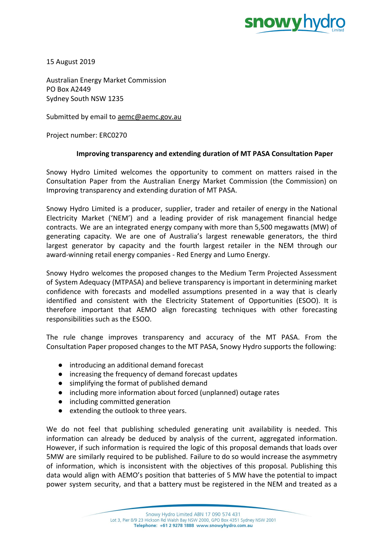

15 August 2019

Australian Energy Market Commission PO Box A2449 Sydney South NSW 1235

Submitted by email to [aemc@aemc.gov.au](mailto:aemc@aemc.gov.au)

Project number: ERC0270

## **Improving transparency and extending duration of MT PASA Consultation Paper**

Snowy Hydro Limited welcomes the opportunity to comment on matters raised in the Consultation Paper from the Australian Energy Market Commission (the Commission) on Improving transparency and extending duration of MT PASA.

Snowy Hydro Limited is a producer, supplier, trader and retailer of energy in the National Electricity Market ('NEM') and a leading provider of risk management financial hedge contracts. We are an integrated energy company with more than 5,500 megawatts (MW) of generating capacity. We are one of Australia's largest renewable generators, the third largest generator by capacity and the fourth largest retailer in the NEM through our award-winning retail energy companies - Red Energy and Lumo Energy.

Snowy Hydro welcomes the proposed changes to the Medium Term Projected Assessment of System Adequacy (MTPASA) and believe transparency is important in determining market confidence with forecasts and modelled assumptions presented in a way that is clearly identified and consistent with the Electricity Statement of Opportunities (ESOO). It is therefore important that AEMO align forecasting techniques with other forecasting responsibilities such as the ESOO.

The rule change improves transparency and accuracy of the MT PASA. From the Consultation Paper proposed changes to the MT PASA, Snowy Hydro supports the following:

- introducing an additional demand forecast
- increasing the frequency of demand forecast updates
- simplifying the format of published demand
- including more information about forced (unplanned) outage rates
- including committed generation
- extending the outlook to three years.

We do not feel that publishing scheduled generating unit availability is needed. This information can already be deduced by analysis of the current, aggregated information. However, if such information is required the logic of this proposal demands that loads over 5MW are similarly required to be published. Failure to do so would increase the asymmetry of information, which is inconsistent with the objectives of this proposal. Publishing this data would align with AEMO's position that batteries of 5 MW have the potential to impact power system security, and that a battery must be registered in the NEM and treated as a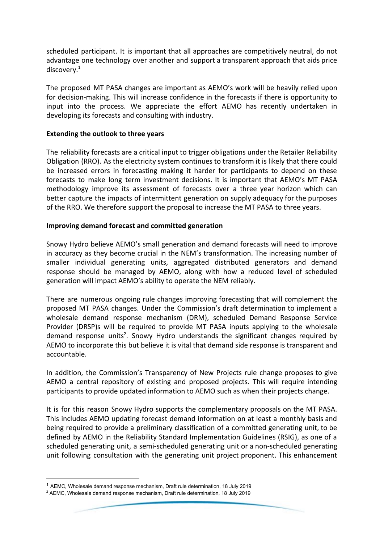scheduled participant. It is important that all approaches are competitively neutral, do not advantage one technology over another and support a transparent approach that aids price discovery.<sup>1</sup>

The proposed MT PASA changes are important as AEMO's work will be heavily relied upon for decision-making. This will increase confidence in the forecasts if there is opportunity to input into the process. We appreciate the effort AEMO has recently undertaken in developing its forecasts and consulting with industry.

## **Extending the outlook to three years**

The reliability forecasts are a critical input to trigger obligations under the Retailer Reliability Obligation (RRO). As the electricity system continues to transform it is likely that there could be increased errors in forecasting making it harder for participants to depend on these forecasts to make long term investment decisions. It is important that AEMO's MT PASA methodology improve its assessment of forecasts over a three year horizon which can better capture the impacts of intermittent generation on supply adequacy for the purposes of the RRO. We therefore support the proposal to increase the MT PASA to three years.

## **Improving demand forecast and committed generation**

Snowy Hydro believe AEMO's small generation and demand forecasts will need to improve in accuracy as they become crucial in the NEM's transformation. The increasing number of smaller individual generating units, aggregated distributed generators and demand response should be managed by AEMO, along with how a reduced level of scheduled generation will impact AEMO's ability to operate the NEM reliably.

There are numerous ongoing rule changes improving forecasting that will complement the proposed MT PASA changes. Under the Commission's draft determination to implement a wholesale demand response mechanism (DRM), scheduled Demand Response Service Provider (DRSP)s will be required to provide MT PASA inputs applying to the wholesale demand response units<sup>2</sup>. Snowy Hydro understands the significant changes required by AEMO to incorporate this but believe it is vital that demand side response is transparent and accountable.

In addition, the Commission's Transparency of New Projects rule change proposes to give AEMO a central repository of existing and proposed projects. This will require intending participants to provide updated information to AEMO such as when their projects change.

It is for this reason Snowy Hydro supports the complementary proposals on the MT PASA. This includes AEMO updating forecast demand information on at least a monthly basis and being required to provide a preliminary classification of a committed generating unit, to be defined by AEMO in the Reliability Standard Implementation Guidelines (RSIG), as one of a scheduled generating unit, a semi-scheduled generating unit or a non-scheduled generating unit following consultation with the generating unit project proponent. This enhancement

 $1$  AEMC, Wholesale demand response mechanism, Draft rule determination, 18 July 2019

 $2$  AEMC, Wholesale demand response mechanism, Draft rule determination, 18 July 2019